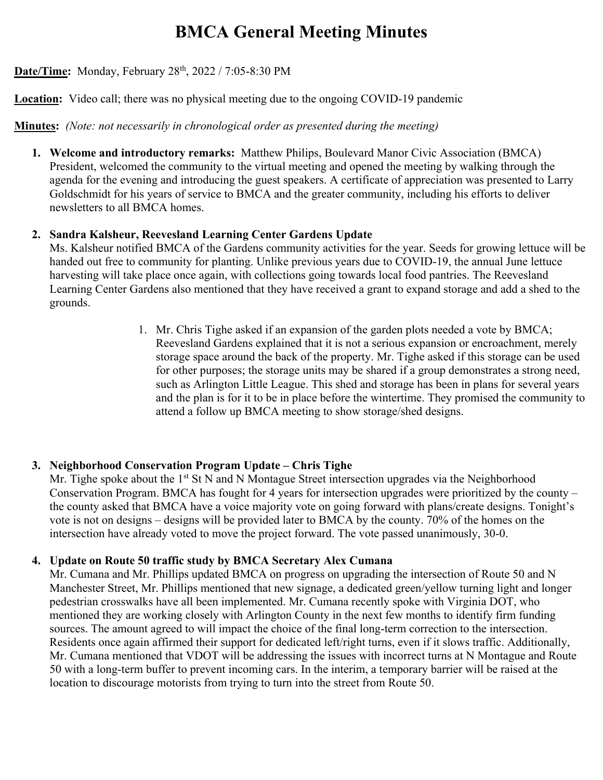# **BMCA General Meeting Minutes**

# **Date/Time:** Monday, February 28<sup>th</sup>, 2022 / 7:05-8:30 PM

**Location:** Video call; there was no physical meeting due to the ongoing COVID-19 pandemic

**Minutes:** *(Note: not necessarily in chronological order as presented during the meeting)*

**1. Welcome and introductory remarks:** Matthew Philips, Boulevard Manor Civic Association (BMCA) President, welcomed the community to the virtual meeting and opened the meeting by walking through the agenda for the evening and introducing the guest speakers. A certificate of appreciation was presented to Larry Goldschmidt for his years of service to BMCA and the greater community, including his efforts to deliver newsletters to all BMCA homes.

### **2. Sandra Kalsheur, Reevesland Learning Center Gardens Update**

Ms. Kalsheur notified BMCA of the Gardens community activities for the year. Seeds for growing lettuce will be handed out free to community for planting. Unlike previous years due to COVID-19, the annual June lettuce harvesting will take place once again, with collections going towards local food pantries. The Reevesland Learning Center Gardens also mentioned that they have received a grant to expand storage and add a shed to the grounds.

> 1. Mr. Chris Tighe asked if an expansion of the garden plots needed a vote by BMCA; Reevesland Gardens explained that it is not a serious expansion or encroachment, merely storage space around the back of the property. Mr. Tighe asked if this storage can be used for other purposes; the storage units may be shared if a group demonstrates a strong need, such as Arlington Little League. This shed and storage has been in plans for several years and the plan is for it to be in place before the wintertime. They promised the community to attend a follow up BMCA meeting to show storage/shed designs.

# **3. Neighborhood Conservation Program Update – Chris Tighe**

Mr. Tighe spoke about the 1<sup>st</sup> St N and N Montague Street intersection upgrades via the Neighborhood Conservation Program. BMCA has fought for 4 years for intersection upgrades were prioritized by the county – the county asked that BMCA have a voice majority vote on going forward with plans/create designs. Tonight's vote is not on designs – designs will be provided later to BMCA by the county. 70% of the homes on the intersection have already voted to move the project forward. The vote passed unanimously, 30-0.

# **4. Update on Route 50 traffic study by BMCA Secretary Alex Cumana**

Mr. Cumana and Mr. Phillips updated BMCA on progress on upgrading the intersection of Route 50 and N Manchester Street, Mr. Phillips mentioned that new signage, a dedicated green/yellow turning light and longer pedestrian crosswalks have all been implemented. Mr. Cumana recently spoke with Virginia DOT, who mentioned they are working closely with Arlington County in the next few months to identify firm funding sources. The amount agreed to will impact the choice of the final long-term correction to the intersection. Residents once again affirmed their support for dedicated left/right turns, even if it slows traffic. Additionally, Mr. Cumana mentioned that VDOT will be addressing the issues with incorrect turns at N Montague and Route 50 with a long-term buffer to prevent incoming cars. In the interim, a temporary barrier will be raised at the location to discourage motorists from trying to turn into the street from Route 50.